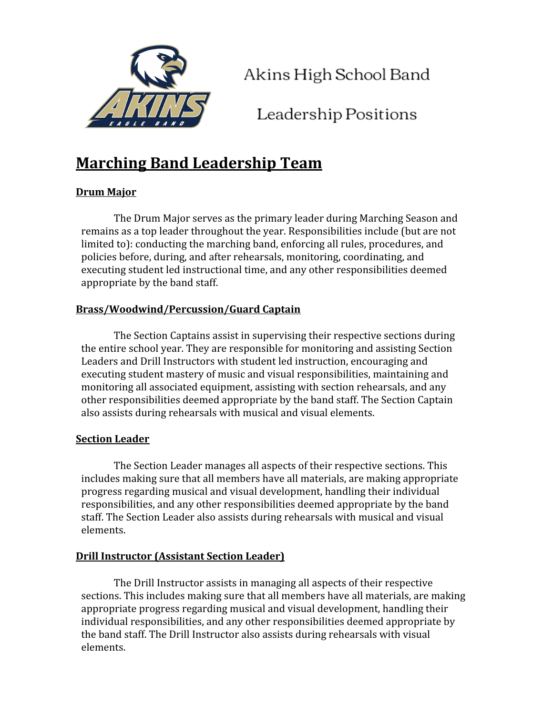

Akins High School Band

Leadership Positions

# **Marching Band Leadership Team**

## **Drum Major**

The Drum Major serves as the primary leader during Marching Season and remains as a top leader throughout the year. Responsibilities include (but are not limited to): conducting the marching band, enforcing all rules, procedures, and policies before, during, and after rehearsals, monitoring, coordinating, and executing student led instructional time, and any other responsibilities deemed appropriate by the band staff.

## **Brass/Woodwind/Percussion/Guard Captain**

The Section Captains assist in supervising their respective sections during the entire school year. They are responsible for monitoring and assisting Section Leaders and Drill Instructors with student led instruction, encouraging and executing student mastery of music and visual responsibilities, maintaining and monitoring all associated equipment, assisting with section rehearsals, and any other responsibilities deemed appropriate by the band staff. The Section Captain also assists during rehearsals with musical and visual elements.

### **Section Leader**

The Section Leader manages all aspects of their respective sections. This includes making sure that all members have all materials, are making appropriate progress regarding musical and visual development, handling their individual responsibilities, and any other responsibilities deemed appropriate by the band staff. The Section Leader also assists during rehearsals with musical and visual elements.

## **Drill Instructor (Assistant Section Leader)**

The Drill Instructor assists in managing all aspects of their respective sections. This includes making sure that all members have all materials, are making appropriate progress regarding musical and visual development, handling their individual responsibilities, and any other responsibilities deemed appropriate by the band staff. The Drill Instructor also assists during rehearsals with visual elements.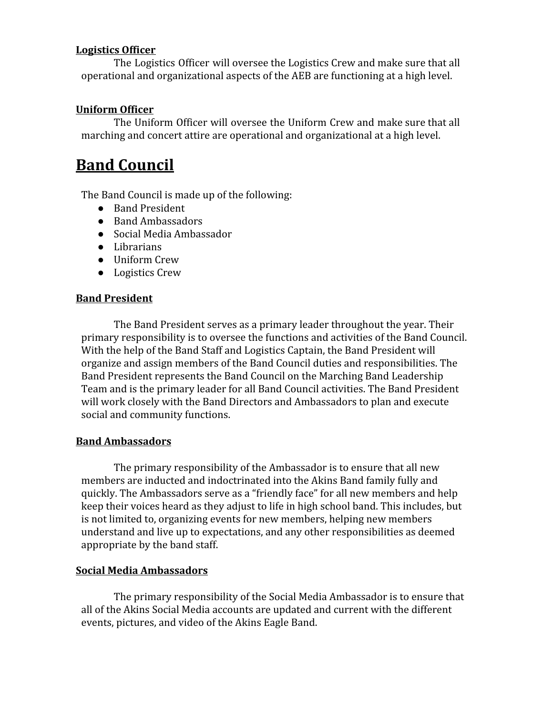### **Logistics Officer**

The Logistics Officer will oversee the Logistics Crew and make sure that all operational and organizational aspects of the AEB are functioning at a high level.

### **Uniform Officer**

The Uniform Officer will oversee the Uniform Crew and make sure that all marching and concert attire are operational and organizational at a high level.

## **Band Council**

The Band Council is made up of the following:

- Band President
- Band Ambassadors
- Social Media Ambassador
- Librarians
- Uniform Crew
- Logistics Crew

### **Band President**

The Band President serves as a primary leader throughout the year. Their primary responsibility is to oversee the functions and activities of the Band Council. With the help of the Band Staff and Logistics Captain, the Band President will organize and assign members of the Band Council duties and responsibilities. The Band President represents the Band Council on the Marching Band Leadership Team and is the primary leader for all Band Council activities. The Band President will work closely with the Band Directors and Ambassadors to plan and execute social and community functions.

### **Band Ambassadors**

The primary responsibility of the Ambassador is to ensure that all new members are inducted and indoctrinated into the Akins Band family fully and quickly. The Ambassadors serve as a "friendly face" for all new members and help keep their voices heard as they adjust to life in high school band. This includes, but is not limited to, organizing events for new members, helping new members understand and live up to expectations, and any other responsibilities as deemed appropriate by the band staff.

### **Social Media Ambassadors**

The primary responsibility of the Social Media Ambassador is to ensure that all of the Akins Social Media accounts are updated and current with the different events, pictures, and video of the Akins Eagle Band.